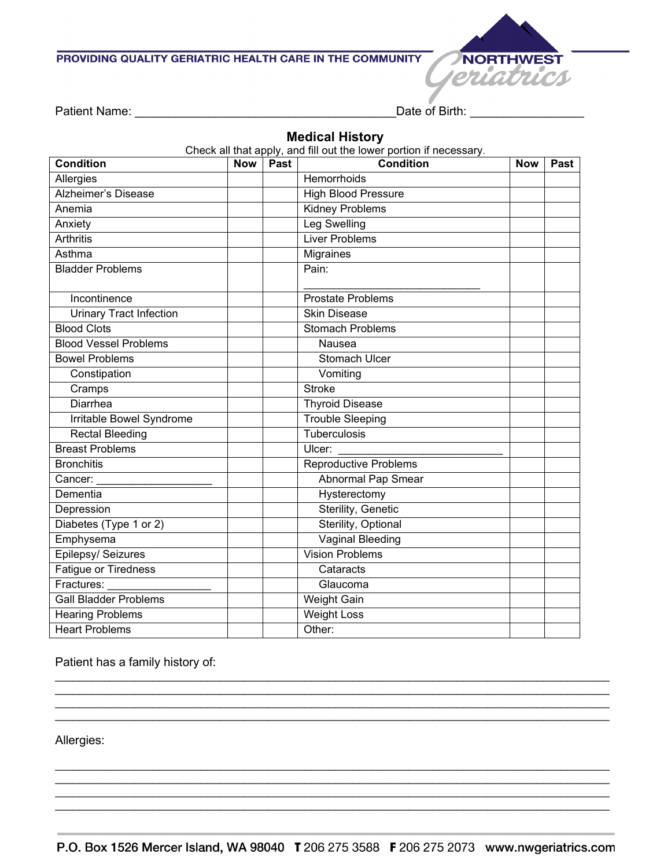## PROVIDING QUALITY GERIATRIC HEALTH CARE IN THE COMMUNITY



Patient Name: \_\_\_\_\_\_\_\_\_\_\_\_\_\_\_\_\_\_\_\_\_\_\_\_\_\_\_\_\_\_\_\_\_\_\_\_\_\_\_Date of Birth: \_\_\_\_\_\_\_\_\_\_\_\_\_\_\_\_\_

## **Medical History**

Check all that apply, and fill out the lower portion if necessary.

| <b>Condition</b>               | <b>Now</b> | Past | <b>Condition</b>             | <b>Now</b> | Past |
|--------------------------------|------------|------|------------------------------|------------|------|
| Allergies                      |            |      | Hemorrhoids                  |            |      |
| <b>Alzheimer's Disease</b>     |            |      | <b>High Blood Pressure</b>   |            |      |
| Anemia                         |            |      | <b>Kidney Problems</b>       |            |      |
| Anxiety                        |            |      | Leg Swelling                 |            |      |
| <b>Arthritis</b>               |            |      | <b>Liver Problems</b>        |            |      |
| Asthma                         |            |      | Migraines                    |            |      |
| <b>Bladder Problems</b>        |            |      | Pain:                        |            |      |
| Incontinence                   |            |      | <b>Prostate Problems</b>     |            |      |
| <b>Urinary Tract Infection</b> |            |      | <b>Skin Disease</b>          |            |      |
| <b>Blood Clots</b>             |            |      | <b>Stomach Problems</b>      |            |      |
| <b>Blood Vessel Problems</b>   |            |      | Nausea                       |            |      |
| <b>Bowel Problems</b>          |            |      | Stomach Ulcer                |            |      |
| Constipation                   |            |      | Vomiting                     |            |      |
| Cramps                         |            |      | <b>Stroke</b>                |            |      |
| Diarrhea                       |            |      | <b>Thyroid Disease</b>       |            |      |
| Irritable Bowel Syndrome       |            |      | <b>Trouble Sleeping</b>      |            |      |
| <b>Rectal Bleeding</b>         |            |      | Tuberculosis                 |            |      |
| <b>Breast Problems</b>         |            |      | Ulcer:                       |            |      |
| <b>Bronchitis</b>              |            |      | <b>Reproductive Problems</b> |            |      |
| Cancer:                        |            |      | Abnormal Pap Smear           |            |      |
| Dementia                       |            |      | Hysterectomy                 |            |      |
| Depression                     |            |      | <b>Sterility, Genetic</b>    |            |      |
| Diabetes (Type 1 or 2)         |            |      | Sterility, Optional          |            |      |
| Emphysema                      |            |      | <b>Vaginal Bleeding</b>      |            |      |
| Epilepsy/ Seizures             |            |      | <b>Vision Problems</b>       |            |      |
| <b>Fatigue or Tiredness</b>    |            |      | Cataracts                    |            |      |
| Fractures:                     |            |      | Glaucoma                     |            |      |
| <b>Gall Bladder Problems</b>   |            |      | Weight Gain                  |            |      |
| <b>Hearing Problems</b>        |            |      | <b>Weight Loss</b>           |            |      |
| <b>Heart Problems</b>          |            |      | Other:                       |            |      |

Patient has a family history of:

Allergies:

\_\_\_\_\_\_\_\_\_\_\_\_\_\_\_\_\_\_\_\_\_\_\_\_\_\_\_\_\_\_\_\_\_\_\_\_\_\_\_\_\_\_\_\_\_\_\_\_\_\_\_\_\_\_\_\_\_\_\_\_\_\_\_\_\_\_\_\_\_\_\_\_\_\_\_\_\_\_\_\_\_\_\_\_\_\_\_\_\_\_\_ \_\_\_\_\_\_\_\_\_\_\_\_\_\_\_\_\_\_\_\_\_\_\_\_\_\_\_\_\_\_\_\_\_\_\_\_\_\_\_\_\_\_\_\_\_\_\_\_\_\_\_\_\_\_\_\_\_\_\_\_\_\_\_\_\_\_\_\_\_\_\_\_\_\_\_\_\_\_\_\_\_\_\_\_\_\_\_\_\_\_\_

\_\_\_\_\_\_\_\_\_\_\_\_\_\_\_\_\_\_\_\_\_\_\_\_\_\_\_\_\_\_\_\_\_\_\_\_\_\_\_\_\_\_\_\_\_\_\_\_\_\_\_\_\_\_\_\_\_\_\_\_\_\_\_\_\_\_\_\_\_\_\_\_\_\_\_\_\_\_\_\_\_\_\_\_\_\_\_\_\_\_\_

\_\_\_\_\_\_\_\_\_\_\_\_\_\_\_\_\_\_\_\_\_\_\_\_\_\_\_\_\_\_\_\_\_\_\_\_\_\_\_\_\_\_\_\_\_\_\_\_\_\_\_\_\_\_\_\_\_\_\_\_\_\_\_\_\_\_\_\_\_\_\_\_\_\_\_\_\_\_\_\_\_\_\_\_\_\_\_\_\_\_\_ \_\_\_\_\_\_\_\_\_\_\_\_\_\_\_\_\_\_\_\_\_\_\_\_\_\_\_\_\_\_\_\_\_\_\_\_\_\_\_\_\_\_\_\_\_\_\_\_\_\_\_\_\_\_\_\_\_\_\_\_\_\_\_\_\_\_\_\_\_\_\_\_\_\_\_\_\_\_\_\_\_\_\_\_\_\_\_\_\_\_\_ \_\_\_\_\_\_\_\_\_\_\_\_\_\_\_\_\_\_\_\_\_\_\_\_\_\_\_\_\_\_\_\_\_\_\_\_\_\_\_\_\_\_\_\_\_\_\_\_\_\_\_\_\_\_\_\_\_\_\_\_\_\_\_\_\_\_\_\_\_\_\_\_\_\_\_\_\_\_\_\_\_\_\_\_\_\_\_\_\_\_\_ \_\_\_\_\_\_\_\_\_\_\_\_\_\_\_\_\_\_\_\_\_\_\_\_\_\_\_\_\_\_\_\_\_\_\_\_\_\_\_\_\_\_\_\_\_\_\_\_\_\_\_\_\_\_\_\_\_\_\_\_\_\_\_\_\_\_\_\_\_\_\_\_\_\_\_\_\_\_\_\_\_\_\_\_\_\_\_\_\_\_\_